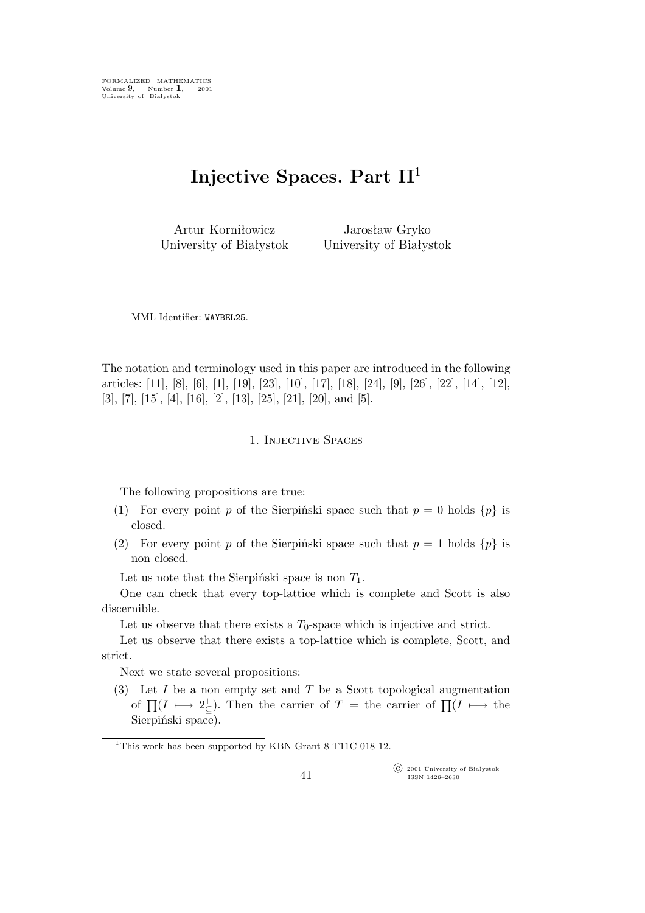FORMALIZED MATHEMATICS Volume 9, Number **1**, 2001 University of Białystok

# **Injective Spaces. Part II**<sup>1</sup>

Artur Korniłowicz University of Białystok

Jarosław Gryko University of Białystok

MML Identifier: WAYBEL25.

The notation and terminology used in this paper are introduced in the following articles: [11], [8], [6], [1], [19], [23], [10], [17], [18], [24], [9], [26], [22], [14], [12], [3], [7], [15], [4], [16], [2], [13], [25], [21], [20], and [5].

## 1. Injective Spaces

The following propositions are true:

- (1) For every point p of the Sierpiński space such that  $p = 0$  holds  $\{p\}$  is closed.
- (2) For every point p of the Sierpiński space such that  $p = 1$  holds  $\{p\}$  is non closed.

Let us note that the Sierpiński space is non  $T_1$ .

One can check that every top-lattice which is complete and Scott is also discernible.

Let us observe that there exists a  $T_0$ -space which is injective and strict.

Let us observe that there exists a top-lattice which is complete, Scott, and strict.

Next we state several propositions:

(3) Let  $I$  be a non empty set and  $T$  be a Scott topological augmentation of  $\prod (I \longmapsto 2^1_{\subseteq} )$ . Then the carrier of  $T =$  the carrier of  $\prod (I \longmapsto$  the Sierpiński space).

°c 2001 University of Białystok ISSN 1426–2630

<sup>&</sup>lt;sup>1</sup>This work has been supported by KBN Grant 8 T11C 018 12.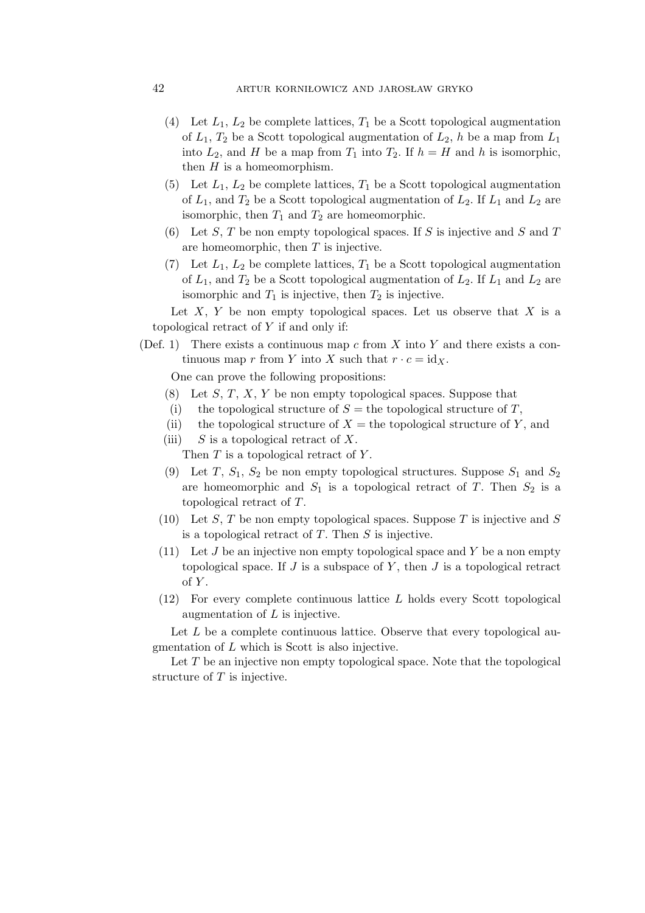## 42 artur korniłowicz and jarosław gryko

- (4) Let  $L_1$ ,  $L_2$  be complete lattices,  $T_1$  be a Scott topological augmentation of  $L_1$ ,  $T_2$  be a Scott topological augmentation of  $L_2$ , h be a map from  $L_1$ into  $L_2$ , and H be a map from  $T_1$  into  $T_2$ . If  $h = H$  and h is isomorphic, then  $H$  is a homeomorphism.
- (5) Let  $L_1$ ,  $L_2$  be complete lattices,  $T_1$  be a Scott topological augmentation of  $L_1$ , and  $T_2$  be a Scott topological augmentation of  $L_2$ . If  $L_1$  and  $L_2$  are isomorphic, then  $T_1$  and  $T_2$  are homeomorphic.
- (6) Let S, T be non empty topological spaces. If S is injective and S and T are homeomorphic, then  $T$  is injective.
- (7) Let  $L_1$ ,  $L_2$  be complete lattices,  $T_1$  be a Scott topological augmentation of  $L_1$ , and  $T_2$  be a Scott topological augmentation of  $L_2$ . If  $L_1$  and  $L_2$  are isomorphic and  $T_1$  is injective, then  $T_2$  is injective.

Let  $X, Y$  be non empty topological spaces. Let us observe that  $X$  is a topological retract of Y if and only if:

(Def. 1) There exists a continuous map c from X into Y and there exists a continuous map r from Y into X such that  $r \cdot c = id_X$ .

One can prove the following propositions:

- $(8)$  Let S, T, X, Y be non empty topological spaces. Suppose that
- (i) the topological structure of  $S =$  the topological structure of T,
- (ii) the topological structure of  $X =$  the topological structure of Y, and
- (iii)  $S$  is a topological retract of X.
	- Then  $T$  is a topological retract of  $Y$ .
- (9) Let T,  $S_1$ ,  $S_2$  be non empty topological structures. Suppose  $S_1$  and  $S_2$ are homeomorphic and  $S_1$  is a topological retract of T. Then  $S_2$  is a topological retract of T.
- (10) Let S, T be non empty topological spaces. Suppose T is injective and S is a topological retract of  $T$ . Then  $S$  is injective.
- (11) Let  $J$  be an injective non empty topological space and  $Y$  be a non empty topological space. If  $J$  is a subspace of  $Y$ , then  $J$  is a topological retract  $of Y.$
- (12) For every complete continuous lattice L holds every Scott topological augmentation of L is injective.

Let L be a complete continuous lattice. Observe that every topological augmentation of L which is Scott is also injective.

Let  $T$  be an injective non empty topological space. Note that the topological structure of  $T$  is injective.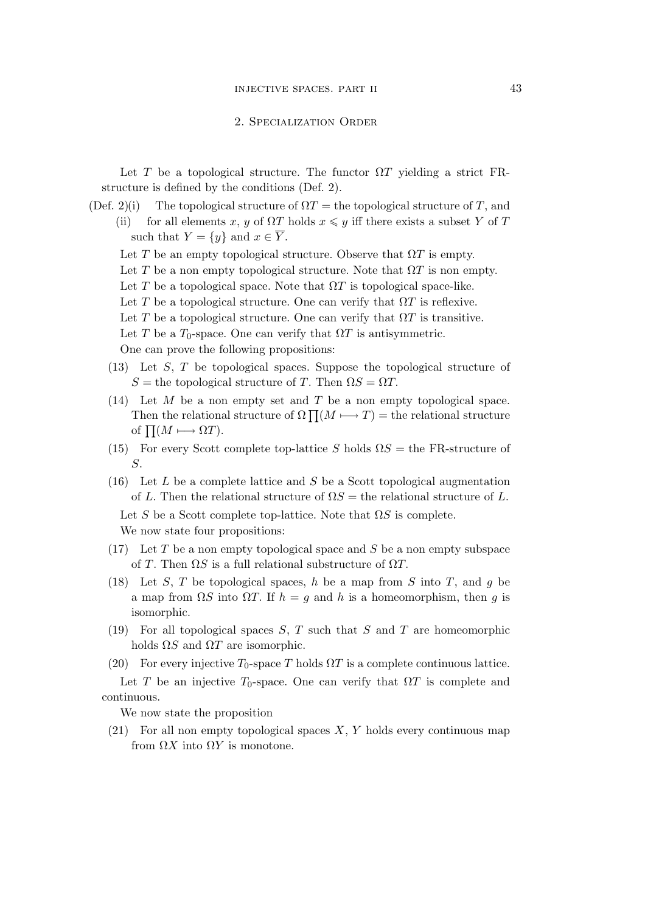### 2. Specialization Order

Let T be a topological structure. The functor  $\Omega T$  yielding a strict FRstructure is defined by the conditions (Def. 2).

- (Def. 2)(i) The topological structure of  $\Omega T =$  the topological structure of T, and (ii) for all elements x, y of  $\Omega T$  holds  $x \leq y$  iff there exists a subset Y of T such that  $Y = \{y\}$  and  $x \in \overline{Y}$ .
	- Let T be an empty topological structure. Observe that  $\Omega T$  is empty.
	- Let T be a non empty topological structure. Note that  $\Omega T$  is non empty.
	- Let T be a topological space. Note that  $\Omega T$  is topological space-like.
	- Let T be a topological structure. One can verify that  $\Omega T$  is reflexive.
	- Let T be a topological structure. One can verify that  $\Omega T$  is transitive.
	- Let T be a  $T_0$ -space. One can verify that  $\Omega T$  is antisymmetric.

One can prove the following propositions:

- (13) Let S, T be topological spaces. Suppose the topological structure of  $S =$  the topological structure of T. Then  $\Omega S = \Omega T$ .
- (14) Let  $M$  be a non empty set and  $T$  be a non empty topological space. Then the relational structure of  $\Omega \prod (M \longmapsto T) =$  the relational structure of  $\Pi(M \longmapsto \Omega T)$ .
- (15) For every Scott complete top-lattice S holds  $\Omega S =$  the FR-structure of S.
- (16) Let  $L$  be a complete lattice and  $S$  be a Scott topological augmentation of L. Then the relational structure of  $\Omega S =$  the relational structure of L.

Let S be a Scott complete top-lattice. Note that  $\Omega S$  is complete. We now state four propositions:

- $(17)$  Let T be a non empty topological space and S be a non empty subspace of T. Then  $\Omega S$  is a full relational substructure of  $\Omega T$ .
- (18) Let S, T be topological spaces, h be a map from S into T, and g be a map from  $\Omega S$  into  $\Omega T$ . If  $h = g$  and h is a homeomorphism, then g is isomorphic.
- (19) For all topological spaces  $S, T$  such that  $S$  and  $T$  are homeomorphic holds  $\Omega S$  and  $\Omega T$  are isomorphic.
- (20) For every injective  $T_0$ -space T holds  $\Omega T$  is a complete continuous lattice.

Let T be an injective  $T_0$ -space. One can verify that  $\Omega T$  is complete and continuous.

We now state the proposition

(21) For all non empty topological spaces  $X, Y$  holds every continuous map from  $\Omega X$  into  $\Omega Y$  is monotone.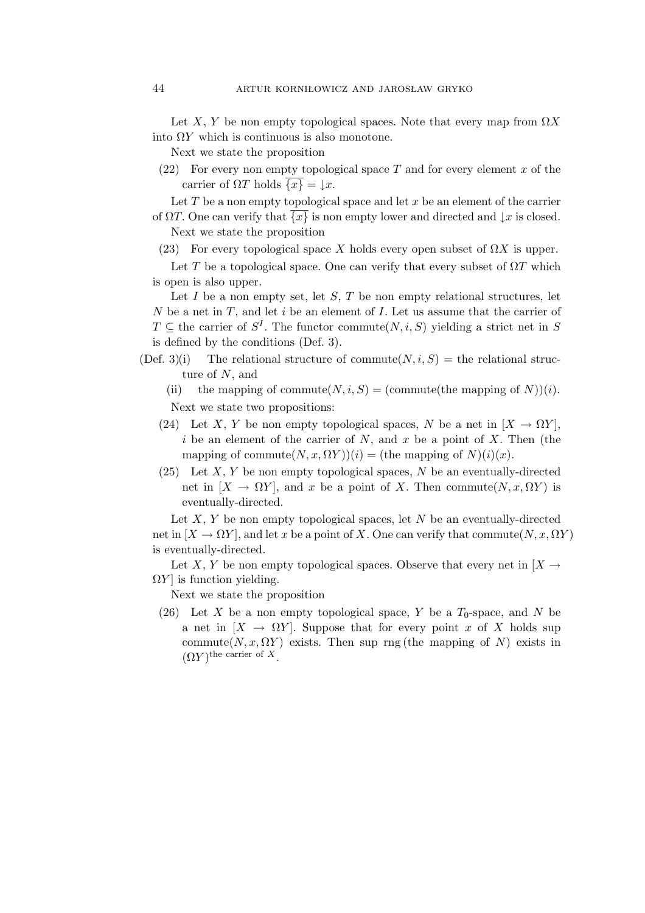Let X, Y be non empty topological spaces. Note that every map from  $\Omega X$ into  $\Omega Y$  which is continuous is also monotone.

Next we state the proposition

(22) For every non empty topological space T and for every element x of the carrier of  $\Omega T$  holds  $\{x\} = \iota x$ .

Let  $T$  be a non empty topological space and let  $x$  be an element of the carrier of  $\Omega T$ . One can verify that  $\{x\}$  is non empty lower and directed and  $\downarrow x$  is closed.

Next we state the proposition

(23) For every topological space X holds every open subset of  $\Omega X$  is upper.

Let T be a topological space. One can verify that every subset of  $\Omega T$  which is open is also upper.

Let  $I$  be a non empty set, let  $S$ ,  $T$  be non empty relational structures, let N be a net in  $T$ , and let i be an element of  $I$ . Let us assume that the carrier of  $T \subseteq$  the carrier of  $S^I$ . The functor commute $(N, i, S)$  yielding a strict net in S is defined by the conditions (Def. 3).

- (Def. 3)(i) The relational structure of commute  $(N, i, S)$  = the relational structure of N, and
	- (ii) the mapping of commute $(N, i, S) =$  (commute(the mapping of N))(*i*). Next we state two propositions:
	- (24) Let X, Y be non empty topological spaces, N be a net in  $[X \to \Omega Y]$ , i be an element of the carrier of  $N$ , and  $x$  be a point of  $X$ . Then (the mapping of commute $(N, x, \Omega Y)(i) =$  (the mapping of  $N(i)(x)$ .
	- (25) Let X, Y be non empty topological spaces, N be an eventually-directed net in  $[X \to \Omega Y]$ , and x be a point of X. Then commute $(N, x, \Omega Y)$  is eventually-directed.

Let  $X, Y$  be non empty topological spaces, let  $N$  be an eventually-directed net in  $[X \to \Omega Y]$ , and let x be a point of X. One can verify that commute  $(N, x, \Omega Y)$ is eventually-directed.

Let X, Y be non empty topological spaces. Observe that every net in  $[X \rightarrow$  $\Omega Y$  is function yielding.

Next we state the proposition

(26) Let X be a non empty topological space, Y be a  $T_0$ -space, and N be a net in  $[X \to \Omega Y]$ . Suppose that for every point x of X holds sup commute( $N, x, \Omega Y$ ) exists. Then sup rng (the mapping of N) exists in  $(\Omega Y)$ <sup>the carrier of X</sup>.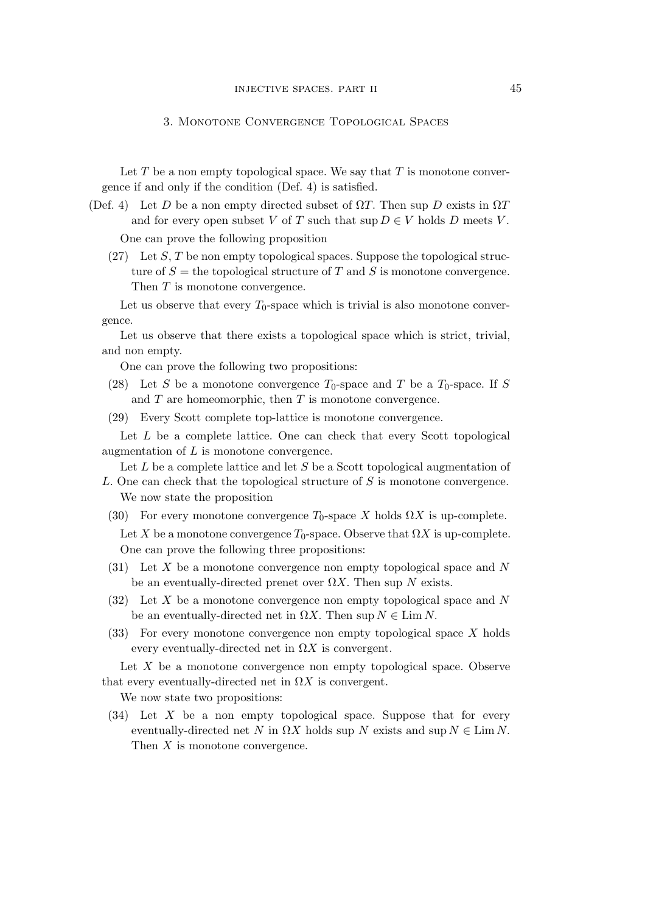### 3. Monotone Convergence Topological Spaces

Let  $T$  be a non empty topological space. We say that  $T$  is monotone convergence if and only if the condition (Def. 4) is satisfied.

- (Def. 4) Let D be a non empty directed subset of  $\Omega T$ . Then sup D exists in  $\Omega T$ and for every open subset V of T such that  $\sup D \in V$  holds D meets V. One can prove the following proposition
	- $(27)$  Let S, T be non empty topological spaces. Suppose the topological structure of  $S =$  the topological structure of T and S is monotone convergence. Then T is monotone convergence.

Let us observe that every  $T_0$ -space which is trivial is also monotone convergence.

Let us observe that there exists a topological space which is strict, trivial, and non empty.

One can prove the following two propositions:

- (28) Let S be a monotone convergence  $T_0$ -space and T be a  $T_0$ -space. If S and  $T$  are homeomorphic, then  $T$  is monotone convergence.
- (29) Every Scott complete top-lattice is monotone convergence.

Let  $L$  be a complete lattice. One can check that every Scott topological augmentation of L is monotone convergence.

Let  $L$  be a complete lattice and let  $S$  be a Scott topological augmentation of

- L. One can check that the topological structure of S is monotone convergence. We now state the proposition
- (30) For every monotone convergence  $T_0$ -space X holds  $\Omega X$  is up-complete. Let X be a monotone convergence  $T_0$ -space. Observe that  $\Omega X$  is up-complete. One can prove the following three propositions:
- (31) Let X be a monotone convergence non empty topological space and N be an eventually-directed prenet over  $\Omega X$ . Then sup N exists.
- (32) Let X be a monotone convergence non empty topological space and N be an eventually-directed net in  $\Omega X$ . Then sup  $N \in \text{Lim } N$ .
- (33) For every monotone convergence non empty topological space X holds every eventually-directed net in  $\Omega X$  is convergent.

Let  $X$  be a monotone convergence non empty topological space. Observe that every eventually-directed net in  $\Omega X$  is convergent.

We now state two propositions:

(34) Let X be a non empty topological space. Suppose that for every eventually-directed net N in  $\Omega X$  holds sup N exists and sup  $N \in \text{Lim } N$ . Then X is monotone convergence.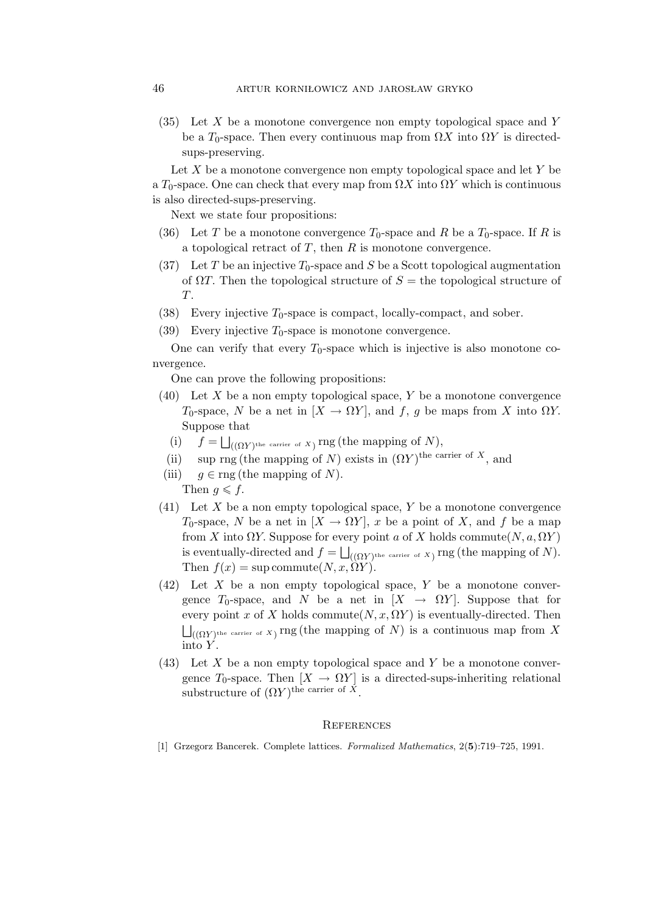$(35)$  Let X be a monotone convergence non empty topological space and Y be a  $T_0$ -space. Then every continuous map from  $\Omega X$  into  $\Omega Y$  is directedsups-preserving.

Let  $X$  be a monotone convergence non empty topological space and let  $Y$  be a  $T_0$ -space. One can check that every map from  $\Omega X$  into  $\Omega Y$  which is continuous is also directed-sups-preserving.

Next we state four propositions:

- (36) Let T be a monotone convergence  $T_0$ -space and R be a  $T_0$ -space. If R is a topological retract of  $T$ , then  $R$  is monotone convergence.
- (37) Let T be an injective  $T_0$ -space and S be a Scott topological augmentation of  $\Omega T$ . Then the topological structure of  $S =$  the topological structure of T.
- (38) Every injective  $T_0$ -space is compact, locally-compact, and sober.
- (39) Every injective  $T_0$ -space is monotone convergence.

One can verify that every  $T_0$ -space which is injective is also monotone convergence.

One can prove the following propositions:

- (40) Let X be a non empty topological space, Y be a monotone convergence T<sub>0</sub>-space, N be a net in  $[X \to \Omega Y]$ , and f, g be maps from X into  $\Omega Y$ . Suppose that
	- (i)  $f = \bigsqcup_{((\Omega Y)^{\text{the carrier of } X})} \text{rng}(\text{the mapping of } N),$
	- (ii) sup rng (the mapping of N) exists in  $(\Omega Y)$ <sup>the carrier of X</sup>, and
- (iii)  $q \in \text{rng}$  (the mapping of N). Then  $g \leqslant f$ .
- (41) Let X be a non empty topological space, Y be a monotone convergence T<sub>0</sub>-space, N be a net in  $[X \to \Omega Y]$ , x be a point of X, and f be a map from X into  $\Omega Y$ . Suppose for every point a of X holds commute  $(N, a, \Omega Y)$ is eventually-directed and  $f = \bigsqcup_{((\Omega Y)^{\text{the carrier of } X})}$  rng (the mapping of N). Then  $f(x) = \text{sup commute}(N, x, \Omega Y)$ .
- $(42)$  Let X be a non empty topological space, Y be a monotone convergence  $T_0$ -space, and N be a net in  $[X \rightarrow \Omega Y]$ . Suppose that for every point x of X holds commute $(N, x, \Omega Y)$  is eventually-directed. Then  $\bigsqcup_{\left( (\Omega Y)^{\text{the carrier of }} X \right)} \text{rng}$  (the mapping of  $N)$  is a continuous map from  $X$ into  $Y$ .
- $(43)$  Let X be a non empty topological space and Y be a monotone convergence  $T_0$ -space. Then  $[X \to \Omega Y]$  is a directed-sups-inheriting relational substructure of  $(\Omega Y)$ <sup>the carrier of X</sup>.

#### **REFERENCES**

[1] Grzegorz Bancerek. Complete lattices. *Formalized Mathematics*, 2(**5**):719–725, 1991.